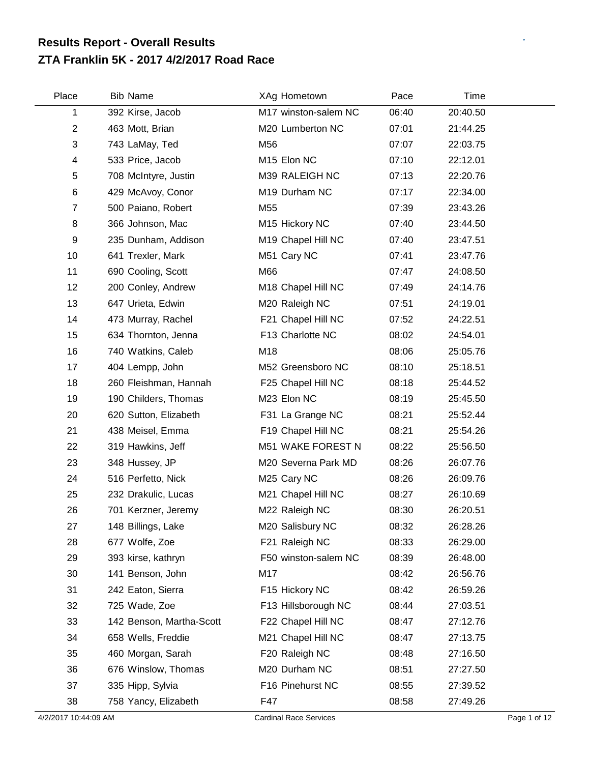## **ZTA Franklin 5K - 2017 4/2/2017 Road Race Results Report - Overall Results**

| Place          | <b>Bib Name</b>          | XAg Hometown         | Pace  | Time     |  |
|----------------|--------------------------|----------------------|-------|----------|--|
| 1              | 392 Kirse, Jacob         | M17 winston-salem NC | 06:40 | 20:40.50 |  |
| $\overline{2}$ | 463 Mott, Brian          | M20 Lumberton NC     | 07:01 | 21:44.25 |  |
| 3              | 743 LaMay, Ted           | M56                  | 07:07 | 22:03.75 |  |
| 4              | 533 Price, Jacob         | M15 Elon NC          | 07:10 | 22:12.01 |  |
| 5              | 708 McIntyre, Justin     | M39 RALEIGH NC       | 07:13 | 22:20.76 |  |
| 6              | 429 McAvoy, Conor        | M19 Durham NC        | 07:17 | 22:34.00 |  |
| $\overline{7}$ | 500 Paiano, Robert       | M55                  | 07:39 | 23:43.26 |  |
| 8              | 366 Johnson, Mac         | M15 Hickory NC       | 07:40 | 23:44.50 |  |
| 9              | 235 Dunham, Addison      | M19 Chapel Hill NC   | 07:40 | 23:47.51 |  |
| 10             | 641 Trexler, Mark        | M51 Cary NC          | 07:41 | 23:47.76 |  |
| 11             | 690 Cooling, Scott       | M66                  | 07:47 | 24:08.50 |  |
| 12             | 200 Conley, Andrew       | M18 Chapel Hill NC   | 07:49 | 24:14.76 |  |
| 13             | 647 Urieta, Edwin        | M20 Raleigh NC       | 07:51 | 24:19.01 |  |
| 14             | 473 Murray, Rachel       | F21 Chapel Hill NC   | 07:52 | 24:22.51 |  |
| 15             | 634 Thornton, Jenna      | F13 Charlotte NC     | 08:02 | 24:54.01 |  |
| 16             | 740 Watkins, Caleb       | M18                  | 08:06 | 25:05.76 |  |
| 17             | 404 Lempp, John          | M52 Greensboro NC    | 08:10 | 25:18.51 |  |
| 18             | 260 Fleishman, Hannah    | F25 Chapel Hill NC   | 08:18 | 25:44.52 |  |
| 19             | 190 Childers, Thomas     | M23 Elon NC          | 08:19 | 25:45.50 |  |
| 20             | 620 Sutton, Elizabeth    | F31 La Grange NC     | 08:21 | 25:52.44 |  |
| 21             | 438 Meisel, Emma         | F19 Chapel Hill NC   | 08:21 | 25:54.26 |  |
| 22             | 319 Hawkins, Jeff        | M51 WAKE FOREST N    | 08:22 | 25:56.50 |  |
| 23             | 348 Hussey, JP           | M20 Severna Park MD  | 08:26 | 26:07.76 |  |
| 24             | 516 Perfetto, Nick       | M25 Cary NC          | 08:26 | 26:09.76 |  |
| 25             | 232 Drakulic, Lucas      | M21 Chapel Hill NC   | 08:27 | 26:10.69 |  |
| 26             | 701 Kerzner, Jeremy      | M22 Raleigh NC       | 08:30 | 26:20.51 |  |
| 27             | 148 Billings, Lake       | M20 Salisbury NC     | 08:32 | 26:28.26 |  |
| 28             | 677 Wolfe, Zoe           | F21 Raleigh NC       | 08:33 | 26:29.00 |  |
| 29             | 393 kirse, kathryn       | F50 winston-salem NC | 08:39 | 26:48.00 |  |
| 30             | 141 Benson, John         | M17                  | 08:42 | 26:56.76 |  |
| 31             | 242 Eaton, Sierra        | F15 Hickory NC       | 08:42 | 26:59.26 |  |
| 32             | 725 Wade, Zoe            | F13 Hillsborough NC  | 08:44 | 27:03.51 |  |
| 33             | 142 Benson, Martha-Scott | F22 Chapel Hill NC   | 08:47 | 27:12.76 |  |
| 34             | 658 Wells, Freddie       | M21 Chapel Hill NC   | 08:47 | 27:13.75 |  |
| 35             | 460 Morgan, Sarah        | F20 Raleigh NC       | 08:48 | 27:16.50 |  |
| 36             | 676 Winslow, Thomas      | M20 Durham NC        | 08:51 | 27:27.50 |  |
| 37             | 335 Hipp, Sylvia         | F16 Pinehurst NC     | 08:55 | 27:39.52 |  |
| 38             | 758 Yancy, Elizabeth     | F47                  | 08:58 | 27:49.26 |  |

4/2/2017 10:44:09 AM Cardinal Race Services Page 1 of 12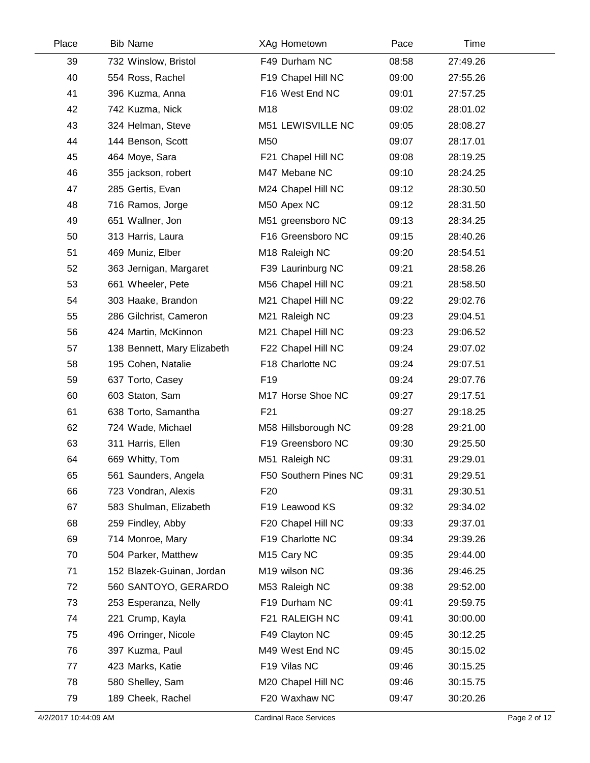| Place | <b>Bib Name</b>             | XAg Hometown               | Pace  | <b>Time</b> |  |
|-------|-----------------------------|----------------------------|-------|-------------|--|
| 39    | 732 Winslow, Bristol        | F49 Durham NC              | 08:58 | 27:49.26    |  |
| 40    | 554 Ross, Rachel            | F19 Chapel Hill NC         | 09:00 | 27:55.26    |  |
| 41    | 396 Kuzma, Anna             | F16 West End NC            | 09:01 | 27:57.25    |  |
| 42    | 742 Kuzma, Nick             | M18                        | 09:02 | 28:01.02    |  |
| 43    | 324 Helman, Steve           | M51 LEWISVILLE NC          | 09:05 | 28:08.27    |  |
| 44    | 144 Benson, Scott           | M50                        | 09:07 | 28:17.01    |  |
| 45    | 464 Moye, Sara              | F21 Chapel Hill NC         | 09:08 | 28:19.25    |  |
| 46    | 355 jackson, robert         | M47 Mebane NC              | 09:10 | 28:24.25    |  |
| 47    | 285 Gertis, Evan            | M24 Chapel Hill NC         | 09:12 | 28:30.50    |  |
| 48    | 716 Ramos, Jorge            | M50 Apex NC                | 09:12 | 28:31.50    |  |
| 49    | 651 Wallner, Jon            | M51 greensboro NC          | 09:13 | 28:34.25    |  |
| 50    | 313 Harris, Laura           | F16 Greensboro NC          | 09:15 | 28:40.26    |  |
| 51    | 469 Muniz, Elber            | M <sub>18</sub> Raleigh NC | 09:20 | 28:54.51    |  |
| 52    | 363 Jernigan, Margaret      | F39 Laurinburg NC          | 09:21 | 28:58.26    |  |
| 53    | 661 Wheeler, Pete           | M56 Chapel Hill NC         | 09:21 | 28:58.50    |  |
| 54    | 303 Haake, Brandon          | M21 Chapel Hill NC         | 09:22 | 29:02.76    |  |
| 55    | 286 Gilchrist, Cameron      | M21 Raleigh NC             | 09:23 | 29:04.51    |  |
| 56    | 424 Martin, McKinnon        | M21 Chapel Hill NC         | 09:23 | 29:06.52    |  |
| 57    | 138 Bennett, Mary Elizabeth | F22 Chapel Hill NC         | 09:24 | 29:07.02    |  |
| 58    | 195 Cohen, Natalie          | F18 Charlotte NC           | 09:24 | 29:07.51    |  |
| 59    | 637 Torto, Casey            | F <sub>19</sub>            | 09:24 | 29:07.76    |  |
| 60    | 603 Staton, Sam             | M17 Horse Shoe NC          | 09:27 | 29:17.51    |  |
| 61    | 638 Torto, Samantha         | F <sub>21</sub>            | 09:27 | 29:18.25    |  |
| 62    | 724 Wade, Michael           | M58 Hillsborough NC        | 09:28 | 29:21.00    |  |
| 63    | 311 Harris, Ellen           | F19 Greensboro NC          | 09:30 | 29:25.50    |  |
| 64    | 669 Whitty, Tom             | M51 Raleigh NC             | 09:31 | 29:29.01    |  |
| 65    | 561 Saunders, Angela        | F50 Southern Pines NC      | 09:31 | 29:29.51    |  |
| 66    | 723 Vondran, Alexis         | F <sub>20</sub>            | 09:31 | 29:30.51    |  |
| 67    | 583 Shulman, Elizabeth      | F19 Leawood KS             | 09:32 | 29:34.02    |  |
| 68    | 259 Findley, Abby           | F20 Chapel Hill NC         | 09:33 | 29:37.01    |  |
| 69    | 714 Monroe, Mary            | F19 Charlotte NC           | 09:34 | 29:39.26    |  |
| 70    | 504 Parker, Matthew         | M <sub>15</sub> Cary NC    | 09:35 | 29:44.00    |  |
| 71    | 152 Blazek-Guinan, Jordan   | M19 wilson NC              | 09:36 | 29:46.25    |  |
| 72    | 560 SANTOYO, GERARDO        | M53 Raleigh NC             | 09:38 | 29:52.00    |  |
| 73    | 253 Esperanza, Nelly        | F19 Durham NC              | 09:41 | 29:59.75    |  |
| 74    | 221 Crump, Kayla            | F21 RALEIGH NC             | 09:41 | 30:00.00    |  |
| 75    | 496 Orringer, Nicole        | F49 Clayton NC             | 09:45 | 30:12.25    |  |
| 76    | 397 Kuzma, Paul             | M49 West End NC            | 09:45 | 30:15.02    |  |
| 77    | 423 Marks, Katie            | F19 Vilas NC               | 09:46 | 30:15.25    |  |
| 78    | 580 Shelley, Sam            | M20 Chapel Hill NC         | 09:46 | 30:15.75    |  |
| 79    | 189 Cheek, Rachel           | F20 Waxhaw NC              | 09:47 | 30:20.26    |  |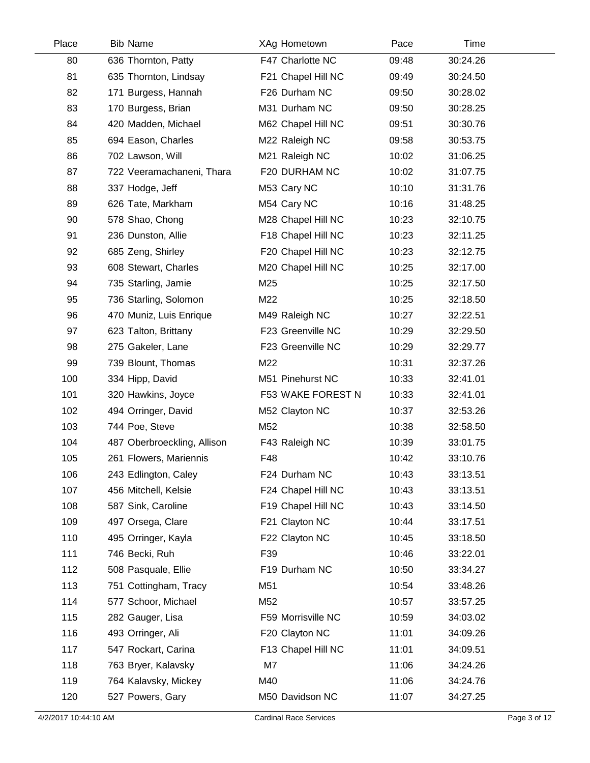| Place | <b>Bib Name</b>             | XAg Hometown       | Pace  | Time     |  |
|-------|-----------------------------|--------------------|-------|----------|--|
| 80    | 636 Thornton, Patty         | F47 Charlotte NC   | 09:48 | 30:24.26 |  |
| 81    | 635 Thornton, Lindsay       | F21 Chapel Hill NC | 09:49 | 30:24.50 |  |
| 82    | 171 Burgess, Hannah         | F26 Durham NC      | 09:50 | 30:28.02 |  |
| 83    | 170 Burgess, Brian          | M31 Durham NC      | 09:50 | 30:28.25 |  |
| 84    | 420 Madden, Michael         | M62 Chapel Hill NC | 09:51 | 30:30.76 |  |
| 85    | 694 Eason, Charles          | M22 Raleigh NC     | 09:58 | 30:53.75 |  |
| 86    | 702 Lawson, Will            | M21 Raleigh NC     | 10:02 | 31:06.25 |  |
| 87    | 722 Veeramachaneni, Thara   | F20 DURHAM NC      | 10:02 | 31:07.75 |  |
| 88    | 337 Hodge, Jeff             | M53 Cary NC        | 10:10 | 31:31.76 |  |
| 89    | 626 Tate, Markham           | M54 Cary NC        | 10:16 | 31:48.25 |  |
| 90    | 578 Shao, Chong             | M28 Chapel Hill NC | 10:23 | 32:10.75 |  |
| 91    | 236 Dunston, Allie          | F18 Chapel Hill NC | 10:23 | 32:11.25 |  |
| 92    | 685 Zeng, Shirley           | F20 Chapel Hill NC | 10:23 | 32:12.75 |  |
| 93    | 608 Stewart, Charles        | M20 Chapel Hill NC | 10:25 | 32:17.00 |  |
| 94    | 735 Starling, Jamie         | M25                | 10:25 | 32:17.50 |  |
| 95    | 736 Starling, Solomon       | M22                | 10:25 | 32:18.50 |  |
| 96    | 470 Muniz, Luis Enrique     | M49 Raleigh NC     | 10:27 | 32:22.51 |  |
| 97    | 623 Talton, Brittany        | F23 Greenville NC  | 10:29 | 32:29.50 |  |
| 98    | 275 Gakeler, Lane           | F23 Greenville NC  | 10:29 | 32:29.77 |  |
| 99    | 739 Blount, Thomas          | M22                | 10:31 | 32:37.26 |  |
| 100   | 334 Hipp, David             | M51 Pinehurst NC   | 10:33 | 32:41.01 |  |
| 101   | 320 Hawkins, Joyce          | F53 WAKE FOREST N  | 10:33 | 32:41.01 |  |
| 102   | 494 Orringer, David         | M52 Clayton NC     | 10:37 | 32:53.26 |  |
| 103   | 744 Poe, Steve              | M52                | 10:38 | 32:58.50 |  |
| 104   | 487 Oberbroeckling, Allison | F43 Raleigh NC     | 10:39 | 33:01.75 |  |
| 105   | 261 Flowers, Mariennis      | F48                | 10:42 | 33:10.76 |  |
| 106   | 243 Edlington, Caley        | F24 Durham NC      | 10:43 | 33:13.51 |  |
| 107   | 456 Mitchell, Kelsie        | F24 Chapel Hill NC | 10:43 | 33:13.51 |  |
| 108   | 587 Sink, Caroline          | F19 Chapel Hill NC | 10:43 | 33:14.50 |  |
| 109   | 497 Orsega, Clare           | F21 Clayton NC     | 10:44 | 33:17.51 |  |
| 110   | 495 Orringer, Kayla         | F22 Clayton NC     | 10:45 | 33:18.50 |  |
| 111   | 746 Becki, Ruh              | F39                | 10:46 | 33:22.01 |  |
| 112   | 508 Pasquale, Ellie         | F19 Durham NC      | 10:50 | 33:34.27 |  |
| 113   | 751 Cottingham, Tracy       | M51                | 10:54 | 33:48.26 |  |
| 114   | 577 Schoor, Michael         | M52                | 10:57 | 33:57.25 |  |
| 115   | 282 Gauger, Lisa            | F59 Morrisville NC | 10:59 | 34:03.02 |  |
| 116   | 493 Orringer, Ali           | F20 Clayton NC     | 11:01 | 34:09.26 |  |
| 117   | 547 Rockart, Carina         | F13 Chapel Hill NC | 11:01 | 34:09.51 |  |
| 118   | 763 Bryer, Kalavsky         | M7                 | 11:06 | 34:24.26 |  |
| 119   | 764 Kalavsky, Mickey        | M40                | 11:06 | 34:24.76 |  |
| 120   | 527 Powers, Gary            | M50 Davidson NC    | 11:07 | 34:27.25 |  |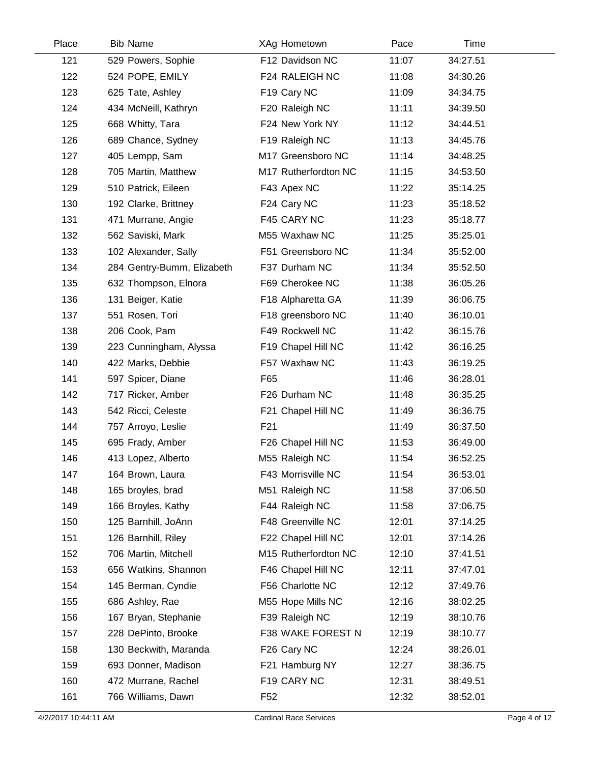| Place | <b>Bib Name</b>            | XAg Hometown         | Pace  | Time     |  |
|-------|----------------------------|----------------------|-------|----------|--|
| 121   | 529 Powers, Sophie         | F12 Davidson NC      | 11:07 | 34:27.51 |  |
| 122   | 524 POPE, EMILY            | F24 RALEIGH NC       | 11:08 | 34:30.26 |  |
| 123   | 625 Tate, Ashley           | F19 Cary NC          | 11:09 | 34:34.75 |  |
| 124   | 434 McNeill, Kathryn       | F20 Raleigh NC       | 11:11 | 34:39.50 |  |
| 125   | 668 Whitty, Tara           | F24 New York NY      | 11:12 | 34:44.51 |  |
| 126   | 689 Chance, Sydney         | F19 Raleigh NC       | 11:13 | 34:45.76 |  |
| 127   | 405 Lempp, Sam             | M17 Greensboro NC    | 11:14 | 34:48.25 |  |
| 128   | 705 Martin, Matthew        | M17 Rutherfordton NC | 11:15 | 34:53.50 |  |
| 129   | 510 Patrick, Eileen        | F43 Apex NC          | 11:22 | 35:14.25 |  |
| 130   | 192 Clarke, Brittney       | F24 Cary NC          | 11:23 | 35:18.52 |  |
| 131   | 471 Murrane, Angie         | F45 CARY NC          | 11:23 | 35:18.77 |  |
| 132   | 562 Saviski, Mark          | M55 Waxhaw NC        | 11:25 | 35:25.01 |  |
| 133   | 102 Alexander, Sally       | F51 Greensboro NC    | 11:34 | 35:52.00 |  |
| 134   | 284 Gentry-Bumm, Elizabeth | F37 Durham NC        | 11:34 | 35:52.50 |  |
| 135   | 632 Thompson, Elnora       | F69 Cherokee NC      | 11:38 | 36:05.26 |  |
| 136   | 131 Beiger, Katie          | F18 Alpharetta GA    | 11:39 | 36:06.75 |  |
| 137   | 551 Rosen, Tori            | F18 greensboro NC    | 11:40 | 36:10.01 |  |
| 138   | 206 Cook, Pam              | F49 Rockwell NC      | 11:42 | 36:15.76 |  |
| 139   | 223 Cunningham, Alyssa     | F19 Chapel Hill NC   | 11:42 | 36:16.25 |  |
| 140   | 422 Marks, Debbie          | F57 Waxhaw NC        | 11:43 | 36:19.25 |  |
| 141   | 597 Spicer, Diane          | F65                  | 11:46 | 36:28.01 |  |
| 142   | 717 Ricker, Amber          | F26 Durham NC        | 11:48 | 36:35.25 |  |
| 143   | 542 Ricci, Celeste         | F21 Chapel Hill NC   | 11:49 | 36:36.75 |  |
| 144   | 757 Arroyo, Leslie         | F <sub>21</sub>      | 11:49 | 36:37.50 |  |
| 145   | 695 Frady, Amber           | F26 Chapel Hill NC   | 11:53 | 36:49.00 |  |
| 146   | 413 Lopez, Alberto         | M55 Raleigh NC       | 11:54 | 36:52.25 |  |
| 147   | 164 Brown, Laura           | F43 Morrisville NC   | 11:54 | 36:53.01 |  |
| 148   | 165 broyles, brad          | M51 Raleigh NC       | 11:58 | 37:06.50 |  |
| 149   | 166 Broyles, Kathy         | F44 Raleigh NC       | 11:58 | 37:06.75 |  |
| 150   | 125 Barnhill, JoAnn        | F48 Greenville NC    | 12:01 | 37:14.25 |  |
| 151   | 126 Barnhill, Riley        | F22 Chapel Hill NC   | 12:01 | 37:14.26 |  |
| 152   | 706 Martin, Mitchell       | M15 Rutherfordton NC | 12:10 | 37:41.51 |  |
| 153   | 656 Watkins, Shannon       | F46 Chapel Hill NC   | 12:11 | 37:47.01 |  |
| 154   | 145 Berman, Cyndie         | F56 Charlotte NC     | 12:12 | 37:49.76 |  |
| 155   | 686 Ashley, Rae            | M55 Hope Mills NC    | 12:16 | 38:02.25 |  |
| 156   | 167 Bryan, Stephanie       | F39 Raleigh NC       | 12:19 | 38:10.76 |  |
| 157   | 228 DePinto, Brooke        | F38 WAKE FOREST N    | 12:19 | 38:10.77 |  |
| 158   | 130 Beckwith, Maranda      | F26 Cary NC          | 12:24 | 38:26.01 |  |
| 159   | 693 Donner, Madison        | F21 Hamburg NY       | 12:27 | 38:36.75 |  |
| 160   | 472 Murrane, Rachel        | F19 CARY NC          | 12:31 | 38:49.51 |  |
| 161   | 766 Williams, Dawn         | F <sub>52</sub>      | 12:32 | 38:52.01 |  |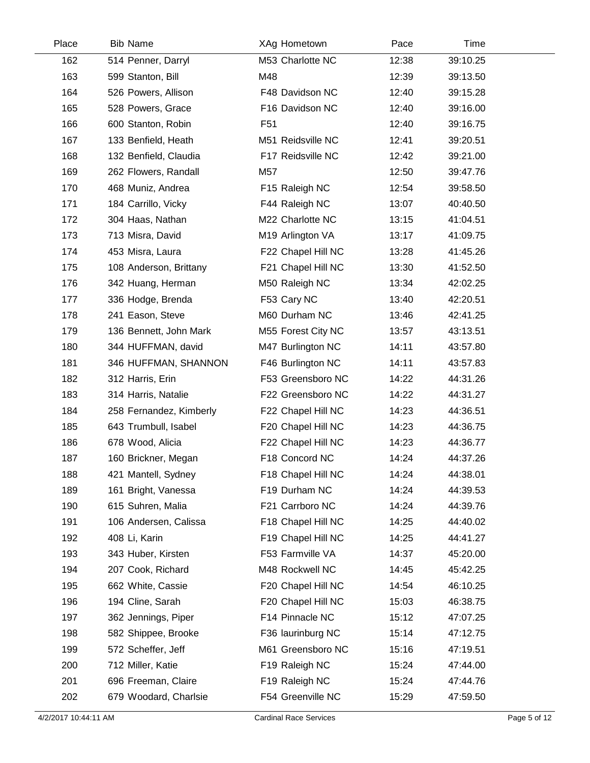| Place | <b>Bib Name</b>         | XAg Hometown       | Pace  | Time     |  |
|-------|-------------------------|--------------------|-------|----------|--|
| 162   | 514 Penner, Darryl      | M53 Charlotte NC   | 12:38 | 39:10.25 |  |
| 163   | 599 Stanton, Bill       | M48                | 12:39 | 39:13.50 |  |
| 164   | 526 Powers, Allison     | F48 Davidson NC    | 12:40 | 39:15.28 |  |
| 165   | 528 Powers, Grace       | F16 Davidson NC    | 12:40 | 39:16.00 |  |
| 166   | 600 Stanton, Robin      | F <sub>51</sub>    | 12:40 | 39:16.75 |  |
| 167   | 133 Benfield, Heath     | M51 Reidsville NC  | 12:41 | 39:20.51 |  |
| 168   | 132 Benfield, Claudia   | F17 Reidsville NC  | 12:42 | 39:21.00 |  |
| 169   | 262 Flowers, Randall    | M57                | 12:50 | 39:47.76 |  |
| 170   | 468 Muniz, Andrea       | F15 Raleigh NC     | 12:54 | 39:58.50 |  |
| 171   | 184 Carrillo, Vicky     | F44 Raleigh NC     | 13:07 | 40:40.50 |  |
| 172   | 304 Haas, Nathan        | M22 Charlotte NC   | 13:15 | 41:04.51 |  |
| 173   | 713 Misra, David        | M19 Arlington VA   | 13:17 | 41:09.75 |  |
| 174   | 453 Misra, Laura        | F22 Chapel Hill NC | 13:28 | 41:45.26 |  |
| 175   | 108 Anderson, Brittany  | F21 Chapel Hill NC | 13:30 | 41:52.50 |  |
| 176   | 342 Huang, Herman       | M50 Raleigh NC     | 13:34 | 42:02.25 |  |
| 177   | 336 Hodge, Brenda       | F53 Cary NC        | 13:40 | 42:20.51 |  |
| 178   | 241 Eason, Steve        | M60 Durham NC      | 13:46 | 42:41.25 |  |
| 179   | 136 Bennett, John Mark  | M55 Forest City NC | 13:57 | 43:13.51 |  |
| 180   | 344 HUFFMAN, david      | M47 Burlington NC  | 14:11 | 43:57.80 |  |
| 181   | 346 HUFFMAN, SHANNON    | F46 Burlington NC  | 14:11 | 43:57.83 |  |
| 182   | 312 Harris, Erin        | F53 Greensboro NC  | 14:22 | 44:31.26 |  |
| 183   | 314 Harris, Natalie     | F22 Greensboro NC  | 14:22 | 44:31.27 |  |
| 184   | 258 Fernandez, Kimberly | F22 Chapel Hill NC | 14:23 | 44:36.51 |  |
| 185   | 643 Trumbull, Isabel    | F20 Chapel Hill NC | 14:23 | 44:36.75 |  |
| 186   | 678 Wood, Alicia        | F22 Chapel Hill NC | 14:23 | 44:36.77 |  |
| 187   | 160 Brickner, Megan     | F18 Concord NC     | 14:24 | 44:37.26 |  |
| 188   | 421 Mantell, Sydney     | F18 Chapel Hill NC | 14:24 | 44:38.01 |  |
| 189   | 161 Bright, Vanessa     | F19 Durham NC      | 14:24 | 44:39.53 |  |
| 190   | 615 Suhren, Malia       | F21 Carrboro NC    | 14:24 | 44:39.76 |  |
| 191   | 106 Andersen, Calissa   | F18 Chapel Hill NC | 14:25 | 44:40.02 |  |
| 192   | 408 Li, Karin           | F19 Chapel Hill NC | 14:25 | 44:41.27 |  |
| 193   | 343 Huber, Kirsten      | F53 Farmville VA   | 14:37 | 45:20.00 |  |
| 194   | 207 Cook, Richard       | M48 Rockwell NC    | 14:45 | 45:42.25 |  |
| 195   | 662 White, Cassie       | F20 Chapel Hill NC | 14:54 | 46:10.25 |  |
| 196   | 194 Cline, Sarah        | F20 Chapel Hill NC | 15:03 | 46:38.75 |  |
| 197   | 362 Jennings, Piper     | F14 Pinnacle NC    | 15:12 | 47:07.25 |  |
| 198   | 582 Shippee, Brooke     | F36 laurinburg NC  | 15:14 | 47:12.75 |  |
| 199   | 572 Scheffer, Jeff      | M61 Greensboro NC  | 15:16 | 47:19.51 |  |
| 200   | 712 Miller, Katie       | F19 Raleigh NC     | 15:24 | 47:44.00 |  |
| 201   | 696 Freeman, Claire     | F19 Raleigh NC     | 15:24 | 47:44.76 |  |
| 202   | 679 Woodard, Charlsie   | F54 Greenville NC  | 15:29 | 47:59.50 |  |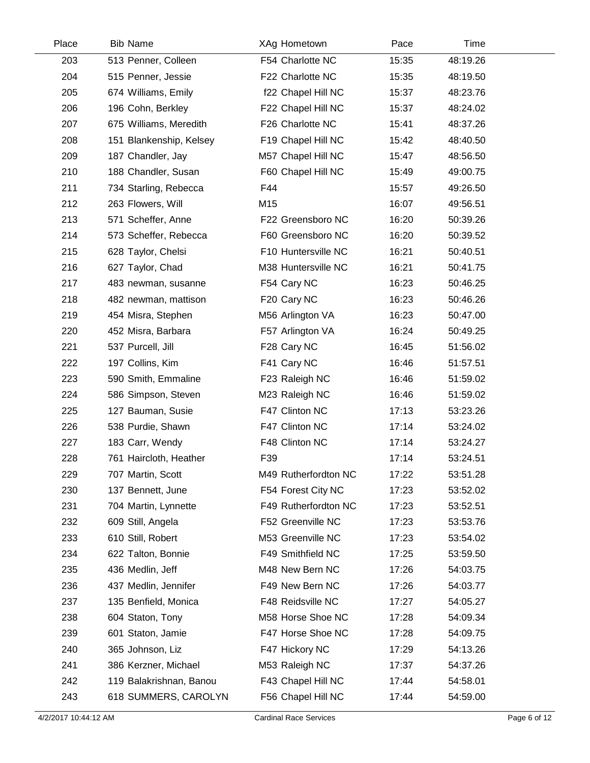| Place | <b>Bib Name</b>         | XAg Hometown         | Pace  | Time     |  |
|-------|-------------------------|----------------------|-------|----------|--|
| 203   | 513 Penner, Colleen     | F54 Charlotte NC     | 15:35 | 48:19.26 |  |
| 204   | 515 Penner, Jessie      | F22 Charlotte NC     | 15:35 | 48:19.50 |  |
| 205   | 674 Williams, Emily     | f22 Chapel Hill NC   | 15:37 | 48:23.76 |  |
| 206   | 196 Cohn, Berkley       | F22 Chapel Hill NC   | 15:37 | 48:24.02 |  |
| 207   | 675 Williams, Meredith  | F26 Charlotte NC     | 15:41 | 48:37.26 |  |
| 208   | 151 Blankenship, Kelsey | F19 Chapel Hill NC   | 15:42 | 48:40.50 |  |
| 209   | 187 Chandler, Jay       | M57 Chapel Hill NC   | 15:47 | 48:56.50 |  |
| 210   | 188 Chandler, Susan     | F60 Chapel Hill NC   | 15:49 | 49:00.75 |  |
| 211   | 734 Starling, Rebecca   | F44                  | 15:57 | 49:26.50 |  |
| 212   | 263 Flowers, Will       | M15                  | 16:07 | 49:56.51 |  |
| 213   | 571 Scheffer, Anne      | F22 Greensboro NC    | 16:20 | 50:39.26 |  |
| 214   | 573 Scheffer, Rebecca   | F60 Greensboro NC    | 16:20 | 50:39.52 |  |
| 215   | 628 Taylor, Chelsi      | F10 Huntersville NC  | 16:21 | 50:40.51 |  |
| 216   | 627 Taylor, Chad        | M38 Huntersville NC  | 16:21 | 50:41.75 |  |
| 217   | 483 newman, susanne     | F54 Cary NC          | 16:23 | 50:46.25 |  |
| 218   | 482 newman, mattison    | F20 Cary NC          | 16:23 | 50:46.26 |  |
| 219   | 454 Misra, Stephen      | M56 Arlington VA     | 16:23 | 50:47.00 |  |
| 220   | 452 Misra, Barbara      | F57 Arlington VA     | 16:24 | 50:49.25 |  |
| 221   | 537 Purcell, Jill       | F28 Cary NC          | 16:45 | 51:56.02 |  |
| 222   | 197 Collins, Kim        | F41 Cary NC          | 16:46 | 51:57.51 |  |
| 223   | 590 Smith, Emmaline     | F23 Raleigh NC       | 16:46 | 51:59.02 |  |
| 224   | 586 Simpson, Steven     | M23 Raleigh NC       | 16:46 | 51:59.02 |  |
| 225   | 127 Bauman, Susie       | F47 Clinton NC       | 17:13 | 53:23.26 |  |
| 226   | 538 Purdie, Shawn       | F47 Clinton NC       | 17:14 | 53:24.02 |  |
| 227   | 183 Carr, Wendy         | F48 Clinton NC       | 17:14 | 53:24.27 |  |
| 228   | 761 Haircloth, Heather  | F39                  | 17:14 | 53:24.51 |  |
| 229   | 707 Martin, Scott       | M49 Rutherfordton NC | 17:22 | 53:51.28 |  |
| 230   | 137 Bennett, June       | F54 Forest City NC   | 17:23 | 53:52.02 |  |
| 231   | 704 Martin, Lynnette    | F49 Rutherfordton NC | 17:23 | 53:52.51 |  |
| 232   | 609 Still, Angela       | F52 Greenville NC    | 17:23 | 53:53.76 |  |
| 233   | 610 Still, Robert       | M53 Greenville NC    | 17:23 | 53:54.02 |  |
| 234   | 622 Talton, Bonnie      | F49 Smithfield NC    | 17:25 | 53:59.50 |  |
| 235   | 436 Medlin, Jeff        | M48 New Bern NC      | 17:26 | 54:03.75 |  |
| 236   | 437 Medlin, Jennifer    | F49 New Bern NC      | 17:26 | 54:03.77 |  |
| 237   | 135 Benfield, Monica    | F48 Reidsville NC    | 17:27 | 54:05.27 |  |
| 238   | 604 Staton, Tony        | M58 Horse Shoe NC    | 17:28 | 54:09.34 |  |
| 239   | 601 Staton, Jamie       | F47 Horse Shoe NC    | 17:28 | 54:09.75 |  |
| 240   | 365 Johnson, Liz        | F47 Hickory NC       | 17:29 | 54:13.26 |  |
| 241   | 386 Kerzner, Michael    | M53 Raleigh NC       | 17:37 | 54:37.26 |  |
| 242   | 119 Balakrishnan, Banou | F43 Chapel Hill NC   | 17:44 | 54:58.01 |  |
| 243   | 618 SUMMERS, CAROLYN    | F56 Chapel Hill NC   | 17:44 | 54:59.00 |  |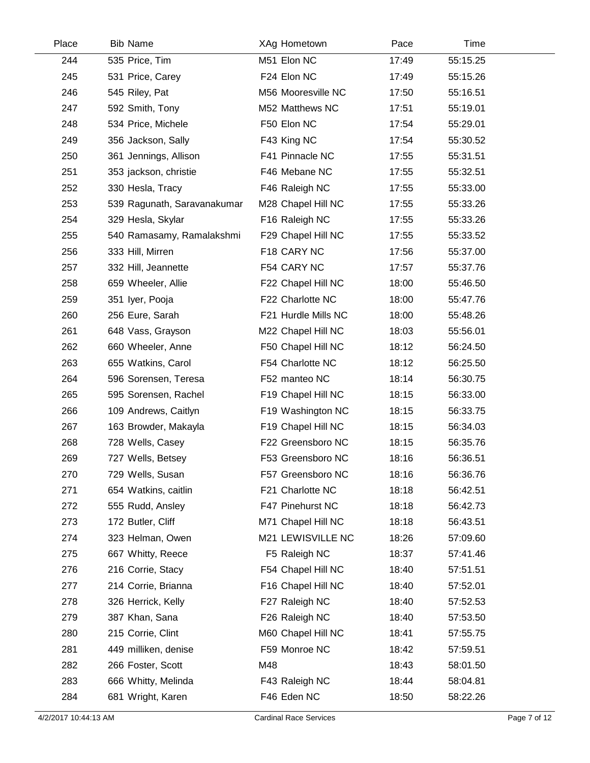| Place | <b>Bib Name</b>             | XAg Hometown        | Pace  | Time     |  |
|-------|-----------------------------|---------------------|-------|----------|--|
| 244   | 535 Price, Tim              | M51 Elon NC         | 17:49 | 55:15.25 |  |
| 245   | 531 Price, Carey            | F24 Elon NC         | 17:49 | 55:15.26 |  |
| 246   | 545 Riley, Pat              | M56 Mooresville NC  | 17:50 | 55:16.51 |  |
| 247   | 592 Smith, Tony             | M52 Matthews NC     | 17:51 | 55:19.01 |  |
| 248   | 534 Price, Michele          | F50 Elon NC         | 17:54 | 55:29.01 |  |
| 249   | 356 Jackson, Sally          | F43 King NC         | 17:54 | 55:30.52 |  |
| 250   | 361 Jennings, Allison       | F41 Pinnacle NC     | 17:55 | 55:31.51 |  |
| 251   | 353 jackson, christie       | F46 Mebane NC       | 17:55 | 55:32.51 |  |
| 252   | 330 Hesla, Tracy            | F46 Raleigh NC      | 17:55 | 55:33.00 |  |
| 253   | 539 Ragunath, Saravanakumar | M28 Chapel Hill NC  | 17:55 | 55:33.26 |  |
| 254   | 329 Hesla, Skylar           | F16 Raleigh NC      | 17:55 | 55:33.26 |  |
| 255   | 540 Ramasamy, Ramalakshmi   | F29 Chapel Hill NC  | 17:55 | 55:33.52 |  |
| 256   | 333 Hill, Mirren            | F18 CARY NC         | 17:56 | 55:37.00 |  |
| 257   | 332 Hill, Jeannette         | F54 CARY NC         | 17:57 | 55:37.76 |  |
| 258   | 659 Wheeler, Allie          | F22 Chapel Hill NC  | 18:00 | 55:46.50 |  |
| 259   | 351 Iyer, Pooja             | F22 Charlotte NC    | 18:00 | 55:47.76 |  |
| 260   | 256 Eure, Sarah             | F21 Hurdle Mills NC | 18:00 | 55:48.26 |  |
| 261   | 648 Vass, Grayson           | M22 Chapel Hill NC  | 18:03 | 55:56.01 |  |
| 262   | 660 Wheeler, Anne           | F50 Chapel Hill NC  | 18:12 | 56:24.50 |  |
| 263   | 655 Watkins, Carol          | F54 Charlotte NC    | 18:12 | 56:25.50 |  |
| 264   | 596 Sorensen, Teresa        | F52 manteo NC       | 18:14 | 56:30.75 |  |
| 265   | 595 Sorensen, Rachel        | F19 Chapel Hill NC  | 18:15 | 56:33.00 |  |
| 266   | 109 Andrews, Caitlyn        | F19 Washington NC   | 18:15 | 56:33.75 |  |
| 267   | 163 Browder, Makayla        | F19 Chapel Hill NC  | 18:15 | 56:34.03 |  |
| 268   | 728 Wells, Casey            | F22 Greensboro NC   | 18:15 | 56:35.76 |  |
| 269   | 727 Wells, Betsey           | F53 Greensboro NC   | 18:16 | 56:36.51 |  |
| 270   | 729 Wells, Susan            | F57 Greensboro NC   | 18:16 | 56:36.76 |  |
| 271   | 654 Watkins, caitlin        | F21 Charlotte NC    | 18:18 | 56:42.51 |  |
| 272   | 555 Rudd, Ansley            | F47 Pinehurst NC    | 18:18 | 56:42.73 |  |
| 273   | 172 Butler, Cliff           | M71 Chapel Hill NC  | 18:18 | 56:43.51 |  |
| 274   | 323 Helman, Owen            | M21 LEWISVILLE NC   | 18:26 | 57:09.60 |  |
| 275   | 667 Whitty, Reece           | F5 Raleigh NC       | 18:37 | 57:41.46 |  |
| 276   | 216 Corrie, Stacy           | F54 Chapel Hill NC  | 18:40 | 57:51.51 |  |
| 277   | 214 Corrie, Brianna         | F16 Chapel Hill NC  | 18:40 | 57:52.01 |  |
| 278   | 326 Herrick, Kelly          | F27 Raleigh NC      | 18:40 | 57:52.53 |  |
| 279   | 387 Khan, Sana              | F26 Raleigh NC      | 18:40 | 57:53.50 |  |
| 280   | 215 Corrie, Clint           | M60 Chapel Hill NC  | 18:41 | 57:55.75 |  |
| 281   | 449 milliken, denise        | F59 Monroe NC       | 18:42 | 57:59.51 |  |
| 282   | 266 Foster, Scott           | M48                 | 18:43 | 58:01.50 |  |
| 283   | 666 Whitty, Melinda         | F43 Raleigh NC      | 18:44 | 58:04.81 |  |
| 284   | 681 Wright, Karen           | F46 Eden NC         | 18:50 | 58:22.26 |  |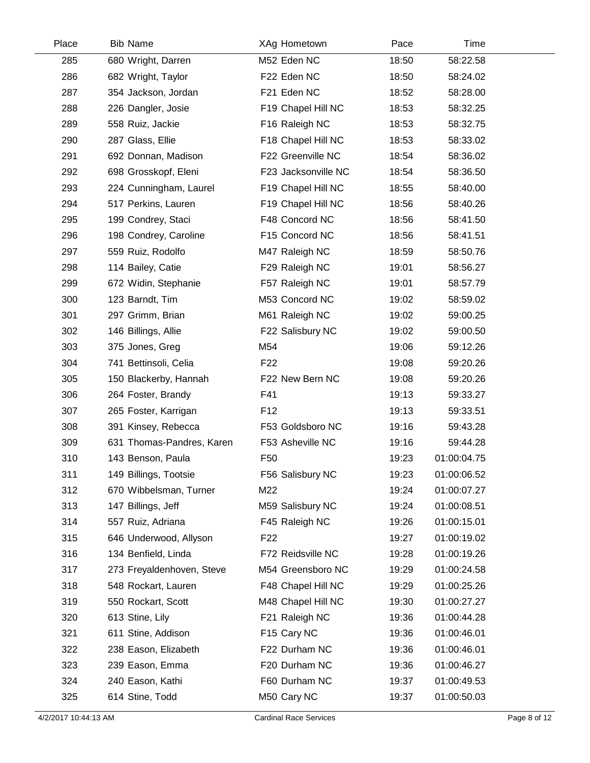| Place | <b>Bib Name</b>           | XAg Hometown        | Pace  | Time        |  |
|-------|---------------------------|---------------------|-------|-------------|--|
| 285   | 680 Wright, Darren        | M52 Eden NC         | 18:50 | 58:22.58    |  |
| 286   | 682 Wright, Taylor        | F22 Eden NC         | 18:50 | 58:24.02    |  |
| 287   | 354 Jackson, Jordan       | F21 Eden NC         | 18:52 | 58:28.00    |  |
| 288   | 226 Dangler, Josie        | F19 Chapel Hill NC  | 18:53 | 58:32.25    |  |
| 289   | 558 Ruiz, Jackie          | F16 Raleigh NC      | 18:53 | 58:32.75    |  |
| 290   | 287 Glass, Ellie          | F18 Chapel Hill NC  | 18:53 | 58:33.02    |  |
| 291   | 692 Donnan, Madison       | F22 Greenville NC   | 18:54 | 58:36.02    |  |
| 292   | 698 Grosskopf, Eleni      | F23 Jacksonville NC | 18:54 | 58:36.50    |  |
| 293   | 224 Cunningham, Laurel    | F19 Chapel Hill NC  | 18:55 | 58:40.00    |  |
| 294   | 517 Perkins, Lauren       | F19 Chapel Hill NC  | 18:56 | 58:40.26    |  |
| 295   | 199 Condrey, Staci        | F48 Concord NC      | 18:56 | 58:41.50    |  |
| 296   | 198 Condrey, Caroline     | F15 Concord NC      | 18:56 | 58:41.51    |  |
| 297   | 559 Ruiz, Rodolfo         | M47 Raleigh NC      | 18:59 | 58:50.76    |  |
| 298   | 114 Bailey, Catie         | F29 Raleigh NC      | 19:01 | 58:56.27    |  |
| 299   | 672 Widin, Stephanie      | F57 Raleigh NC      | 19:01 | 58:57.79    |  |
| 300   | 123 Barndt, Tim           | M53 Concord NC      | 19:02 | 58:59.02    |  |
| 301   | 297 Grimm, Brian          | M61 Raleigh NC      | 19:02 | 59:00.25    |  |
| 302   | 146 Billings, Allie       | F22 Salisbury NC    | 19:02 | 59:00.50    |  |
| 303   | 375 Jones, Greg           | M54                 | 19:06 | 59:12.26    |  |
| 304   | 741 Bettinsoli, Celia     | F <sub>22</sub>     | 19:08 | 59:20.26    |  |
| 305   | 150 Blackerby, Hannah     | F22 New Bern NC     | 19:08 | 59:20.26    |  |
| 306   | 264 Foster, Brandy        | F41                 | 19:13 | 59:33.27    |  |
| 307   | 265 Foster, Karrigan      | F <sub>12</sub>     | 19:13 | 59:33.51    |  |
| 308   | 391 Kinsey, Rebecca       | F53 Goldsboro NC    | 19:16 | 59:43.28    |  |
| 309   | 631 Thomas-Pandres, Karen | F53 Asheville NC    | 19:16 | 59:44.28    |  |
| 310   | 143 Benson, Paula         | F <sub>50</sub>     | 19:23 | 01:00:04.75 |  |
| 311   | 149 Billings, Tootsie     | F56 Salisbury NC    | 19:23 | 01:00:06.52 |  |
| 312   | 670 Wibbelsman, Turner    | M22                 | 19:24 | 01:00:07.27 |  |
| 313   | 147 Billings, Jeff        | M59 Salisbury NC    | 19:24 | 01:00:08.51 |  |
| 314   | 557 Ruiz, Adriana         | F45 Raleigh NC      | 19:26 | 01:00:15.01 |  |
| 315   | 646 Underwood, Allyson    | F <sub>22</sub>     | 19:27 | 01:00:19.02 |  |
| 316   | 134 Benfield, Linda       | F72 Reidsville NC   | 19:28 | 01:00:19.26 |  |
| 317   | 273 Freyaldenhoven, Steve | M54 Greensboro NC   | 19:29 | 01:00:24.58 |  |
| 318   | 548 Rockart, Lauren       | F48 Chapel Hill NC  | 19:29 | 01:00:25.26 |  |
| 319   | 550 Rockart, Scott        | M48 Chapel Hill NC  | 19:30 | 01:00:27.27 |  |
| 320   | 613 Stine, Lily           | F21 Raleigh NC      | 19:36 | 01:00:44.28 |  |
| 321   | 611 Stine, Addison        | F15 Cary NC         | 19:36 | 01:00:46.01 |  |
| 322   | 238 Eason, Elizabeth      | F22 Durham NC       | 19:36 | 01:00:46.01 |  |
| 323   | 239 Eason, Emma           | F20 Durham NC       | 19:36 | 01:00:46.27 |  |
| 324   | 240 Eason, Kathi          | F60 Durham NC       | 19:37 | 01:00:49.53 |  |
| 325   | 614 Stine, Todd           | M50 Cary NC         | 19:37 | 01:00:50.03 |  |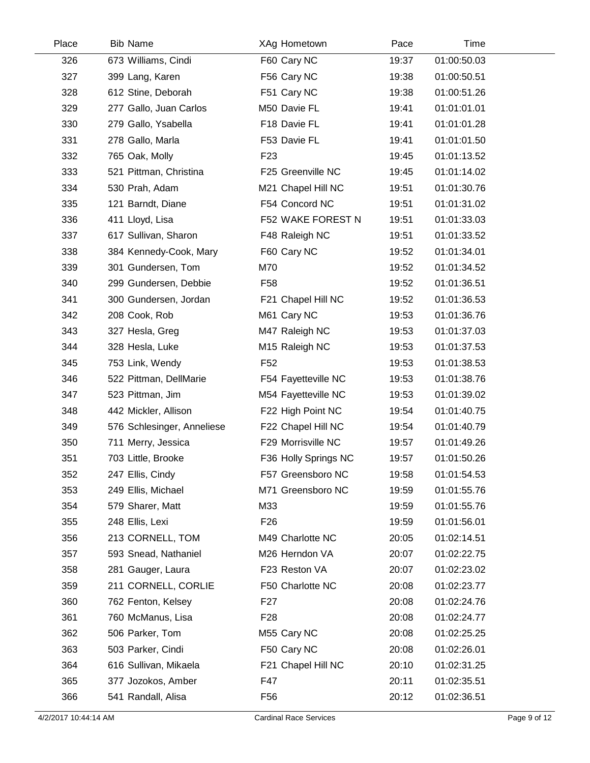| Place | <b>Bib Name</b>            | XAg Hometown         | Pace  | Time        |  |
|-------|----------------------------|----------------------|-------|-------------|--|
| 326   | 673 Williams, Cindi        | F60 Cary NC          | 19:37 | 01:00:50.03 |  |
| 327   | 399 Lang, Karen            | F56 Cary NC          | 19:38 | 01:00:50.51 |  |
| 328   | 612 Stine, Deborah         | F51 Cary NC          | 19:38 | 01:00:51.26 |  |
| 329   | 277 Gallo, Juan Carlos     | M50 Davie FL         | 19:41 | 01:01:01.01 |  |
| 330   | 279 Gallo, Ysabella        | F18 Davie FL         | 19:41 | 01:01:01.28 |  |
| 331   | 278 Gallo, Marla           | F53 Davie FL         | 19:41 | 01:01:01.50 |  |
| 332   | 765 Oak, Molly             | F <sub>23</sub>      | 19:45 | 01:01:13.52 |  |
| 333   | 521 Pittman, Christina     | F25 Greenville NC    | 19:45 | 01:01:14.02 |  |
| 334   | 530 Prah, Adam             | M21 Chapel Hill NC   | 19:51 | 01:01:30.76 |  |
| 335   | 121 Barndt, Diane          | F54 Concord NC       | 19:51 | 01:01:31.02 |  |
| 336   | 411 Lloyd, Lisa            | F52 WAKE FOREST N    | 19:51 | 01:01:33.03 |  |
| 337   | 617 Sullivan, Sharon       | F48 Raleigh NC       | 19:51 | 01:01:33.52 |  |
| 338   | 384 Kennedy-Cook, Mary     | F60 Cary NC          | 19:52 | 01:01:34.01 |  |
| 339   | 301 Gundersen, Tom         | M70                  | 19:52 | 01:01:34.52 |  |
| 340   | 299 Gundersen, Debbie      | F <sub>58</sub>      | 19:52 | 01:01:36.51 |  |
| 341   | 300 Gundersen, Jordan      | F21 Chapel Hill NC   | 19:52 | 01:01:36.53 |  |
| 342   | 208 Cook, Rob              | M61 Cary NC          | 19:53 | 01:01:36.76 |  |
| 343   | 327 Hesla, Greg            | M47 Raleigh NC       | 19:53 | 01:01:37.03 |  |
| 344   | 328 Hesla, Luke            | M15 Raleigh NC       | 19:53 | 01:01:37.53 |  |
| 345   | 753 Link, Wendy            | F <sub>52</sub>      | 19:53 | 01:01:38.53 |  |
| 346   | 522 Pittman, DellMarie     | F54 Fayetteville NC  | 19:53 | 01:01:38.76 |  |
| 347   | 523 Pittman, Jim           | M54 Fayetteville NC  | 19:53 | 01:01:39.02 |  |
| 348   | 442 Mickler, Allison       | F22 High Point NC    | 19:54 | 01:01:40.75 |  |
| 349   | 576 Schlesinger, Anneliese | F22 Chapel Hill NC   | 19:54 | 01:01:40.79 |  |
| 350   | 711 Merry, Jessica         | F29 Morrisville NC   | 19:57 | 01:01:49.26 |  |
| 351   | 703 Little, Brooke         | F36 Holly Springs NC | 19:57 | 01:01:50.26 |  |
| 352   | 247 Ellis, Cindy           | F57 Greensboro NC    | 19:58 | 01:01:54.53 |  |
| 353   | 249 Ellis, Michael         | M71 Greensboro NC    | 19:59 | 01:01:55.76 |  |
| 354   | 579 Sharer, Matt           | M33                  | 19:59 | 01:01:55.76 |  |
| 355   | 248 Ellis, Lexi            | F <sub>26</sub>      | 19:59 | 01:01:56.01 |  |
| 356   | 213 CORNELL, TOM           | M49 Charlotte NC     | 20:05 | 01:02:14.51 |  |
| 357   | 593 Snead, Nathaniel       | M26 Herndon VA       | 20:07 | 01:02:22.75 |  |
| 358   | 281 Gauger, Laura          | F23 Reston VA        | 20:07 | 01:02:23.02 |  |
| 359   | 211 CORNELL, CORLIE        | F50 Charlotte NC     | 20:08 | 01:02:23.77 |  |
| 360   | 762 Fenton, Kelsey         | F27                  | 20:08 | 01:02:24.76 |  |
| 361   | 760 McManus, Lisa          | F <sub>28</sub>      | 20:08 | 01:02:24.77 |  |
| 362   | 506 Parker, Tom            | M55 Cary NC          | 20:08 | 01:02:25.25 |  |
| 363   | 503 Parker, Cindi          | F50 Cary NC          | 20:08 | 01:02:26.01 |  |
| 364   | 616 Sullivan, Mikaela      | F21 Chapel Hill NC   | 20:10 | 01:02:31.25 |  |
| 365   | 377 Jozokos, Amber         | F47                  | 20:11 | 01:02:35.51 |  |
| 366   | 541 Randall, Alisa         | F56                  | 20:12 | 01:02:36.51 |  |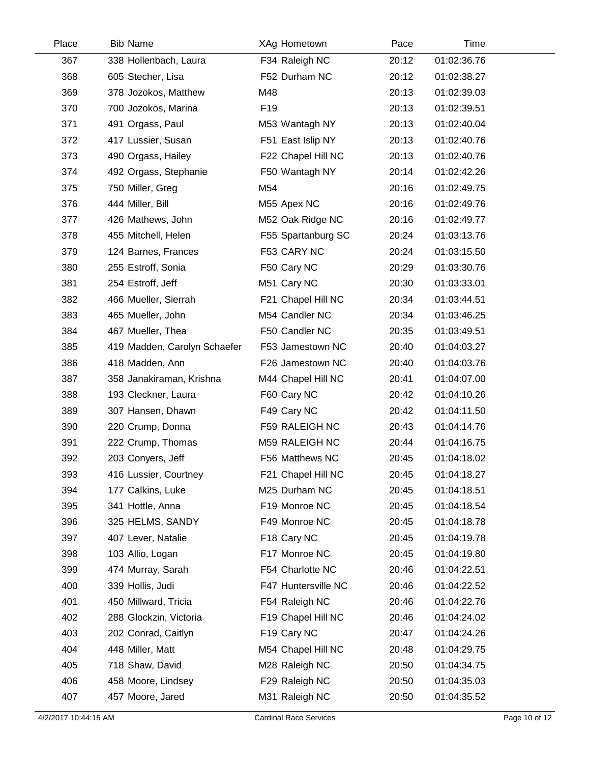| Place | <b>Bib Name</b>              | XAg Hometown        | Pace  | Time        |  |
|-------|------------------------------|---------------------|-------|-------------|--|
| 367   | 338 Hollenbach, Laura        | F34 Raleigh NC      | 20:12 | 01:02:36.76 |  |
| 368   | 605 Stecher, Lisa            | F52 Durham NC       | 20:12 | 01:02:38.27 |  |
| 369   | 378 Jozokos, Matthew         | M48                 | 20:13 | 01:02:39.03 |  |
| 370   | 700 Jozokos, Marina          | F <sub>19</sub>     | 20:13 | 01:02:39.51 |  |
| 371   | 491 Orgass, Paul             | M53 Wantagh NY      | 20:13 | 01:02:40.04 |  |
| 372   | 417 Lussier, Susan           | F51 East Islip NY   | 20:13 | 01:02:40.76 |  |
| 373   | 490 Orgass, Hailey           | F22 Chapel Hill NC  | 20:13 | 01:02:40.76 |  |
| 374   | 492 Orgass, Stephanie        | F50 Wantagh NY      | 20:14 | 01:02:42.26 |  |
| 375   | 750 Miller, Greg             | M54                 | 20:16 | 01:02:49.75 |  |
| 376   | 444 Miller, Bill             | M55 Apex NC         | 20:16 | 01:02:49.76 |  |
| 377   | 426 Mathews, John            | M52 Oak Ridge NC    | 20:16 | 01:02:49.77 |  |
| 378   | 455 Mitchell, Helen          | F55 Spartanburg SC  | 20:24 | 01:03:13.76 |  |
| 379   | 124 Barnes, Frances          | F53 CARY NC         | 20:24 | 01:03:15.50 |  |
| 380   | 255 Estroff, Sonia           | F50 Cary NC         | 20:29 | 01:03:30.76 |  |
| 381   | 254 Estroff, Jeff            | M51 Cary NC         | 20:30 | 01:03:33.01 |  |
| 382   | 466 Mueller, Sierrah         | F21 Chapel Hill NC  | 20:34 | 01:03:44.51 |  |
| 383   | 465 Mueller, John            | M54 Candler NC      | 20:34 | 01:03:46.25 |  |
| 384   | 467 Mueller, Thea            | F50 Candler NC      | 20:35 | 01:03:49.51 |  |
| 385   | 419 Madden, Carolyn Schaefer | F53 Jamestown NC    | 20:40 | 01:04:03.27 |  |
| 386   | 418 Madden, Ann              | F26 Jamestown NC    | 20:40 | 01:04:03.76 |  |
| 387   | 358 Janakiraman, Krishna     | M44 Chapel Hill NC  | 20:41 | 01:04:07.00 |  |
| 388   | 193 Cleckner, Laura          | F60 Cary NC         | 20:42 | 01:04:10.26 |  |
| 389   | 307 Hansen, Dhawn            | F49 Cary NC         | 20:42 | 01:04:11.50 |  |
| 390   | 220 Crump, Donna             | F59 RALEIGH NC      | 20:43 | 01:04:14.76 |  |
| 391   | 222 Crump, Thomas            | M59 RALEIGH NC      | 20:44 | 01:04:16.75 |  |
| 392   | 203 Conyers, Jeff            | F56 Matthews NC     | 20:45 | 01:04:18.02 |  |
| 393   | 416 Lussier, Courtney        | F21 Chapel Hill NC  | 20:45 | 01:04:18.27 |  |
| 394   | 177 Calkins, Luke            | M25 Durham NC       | 20:45 | 01:04:18.51 |  |
| 395   | 341 Hottle, Anna             | F19 Monroe NC       | 20:45 | 01:04:18.54 |  |
| 396   | 325 HELMS, SANDY             | F49 Monroe NC       | 20:45 | 01:04:18.78 |  |
| 397   | 407 Lever, Natalie           | F18 Cary NC         | 20:45 | 01:04:19.78 |  |
| 398   | 103 Allio, Logan             | F17 Monroe NC       | 20:45 | 01:04:19.80 |  |
| 399   | 474 Murray, Sarah            | F54 Charlotte NC    | 20:46 | 01:04:22.51 |  |
| 400   | 339 Hollis, Judi             | F47 Huntersville NC | 20:46 | 01:04:22.52 |  |
| 401   | 450 Millward, Tricia         | F54 Raleigh NC      | 20:46 | 01:04:22.76 |  |
| 402   | 288 Glockzin, Victoria       | F19 Chapel Hill NC  | 20:46 | 01:04:24.02 |  |
| 403   | 202 Conrad, Caitlyn          | F19 Cary NC         | 20:47 | 01:04:24.26 |  |
| 404   | 448 Miller, Matt             | M54 Chapel Hill NC  | 20:48 | 01:04:29.75 |  |
| 405   | 718 Shaw, David              | M28 Raleigh NC      | 20:50 | 01:04:34.75 |  |
| 406   | 458 Moore, Lindsey           | F29 Raleigh NC      | 20:50 | 01:04:35.03 |  |
| 407   | 457 Moore, Jared             | M31 Raleigh NC      | 20:50 | 01:04:35.52 |  |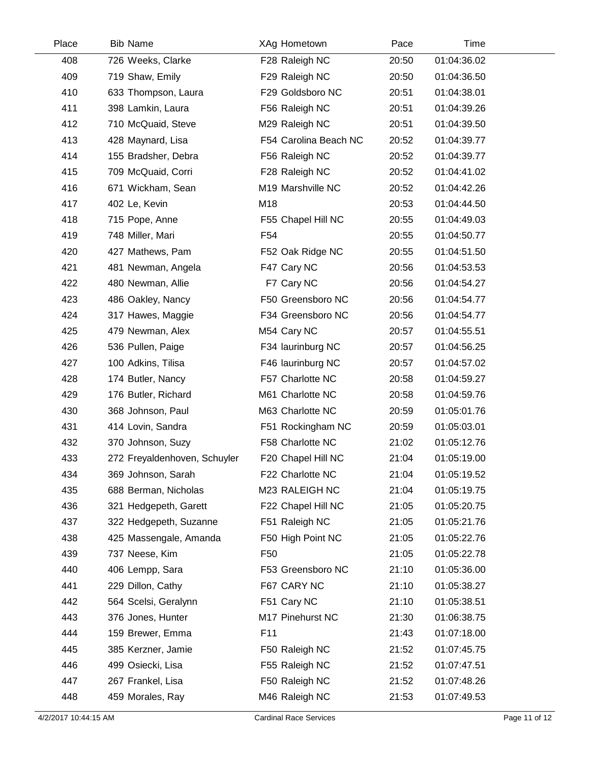| Place | <b>Bib Name</b>              | XAg Hometown          | Pace  | Time        |  |
|-------|------------------------------|-----------------------|-------|-------------|--|
| 408   | 726 Weeks, Clarke            | F28 Raleigh NC        | 20:50 | 01:04:36.02 |  |
| 409   | 719 Shaw, Emily              | F29 Raleigh NC        | 20:50 | 01:04:36.50 |  |
| 410   | 633 Thompson, Laura          | F29 Goldsboro NC      | 20:51 | 01:04:38.01 |  |
| 411   | 398 Lamkin, Laura            | F56 Raleigh NC        | 20:51 | 01:04:39.26 |  |
| 412   | 710 McQuaid, Steve           | M29 Raleigh NC        | 20:51 | 01:04:39.50 |  |
| 413   | 428 Maynard, Lisa            | F54 Carolina Beach NC | 20:52 | 01:04:39.77 |  |
| 414   | 155 Bradsher, Debra          | F56 Raleigh NC        | 20:52 | 01:04:39.77 |  |
| 415   | 709 McQuaid, Corri           | F28 Raleigh NC        | 20:52 | 01:04:41.02 |  |
| 416   | 671 Wickham, Sean            | M19 Marshville NC     | 20:52 | 01:04:42.26 |  |
| 417   | 402 Le, Kevin                | M18                   | 20:53 | 01:04:44.50 |  |
| 418   | 715 Pope, Anne               | F55 Chapel Hill NC    | 20:55 | 01:04:49.03 |  |
| 419   | 748 Miller, Mari             | F <sub>54</sub>       | 20:55 | 01:04:50.77 |  |
| 420   | 427 Mathews, Pam             | F52 Oak Ridge NC      | 20:55 | 01:04:51.50 |  |
| 421   | 481 Newman, Angela           | F47 Cary NC           | 20:56 | 01:04:53.53 |  |
| 422   | 480 Newman, Allie            | F7 Cary NC            | 20:56 | 01:04:54.27 |  |
| 423   | 486 Oakley, Nancy            | F50 Greensboro NC     | 20:56 | 01:04:54.77 |  |
| 424   | 317 Hawes, Maggie            | F34 Greensboro NC     | 20:56 | 01:04:54.77 |  |
| 425   | 479 Newman, Alex             | M54 Cary NC           | 20:57 | 01:04:55.51 |  |
| 426   | 536 Pullen, Paige            | F34 laurinburg NC     | 20:57 | 01:04:56.25 |  |
| 427   | 100 Adkins, Tilisa           | F46 laurinburg NC     | 20:57 | 01:04:57.02 |  |
| 428   | 174 Butler, Nancy            | F57 Charlotte NC      | 20:58 | 01:04:59.27 |  |
| 429   | 176 Butler, Richard          | M61 Charlotte NC      | 20:58 | 01:04:59.76 |  |
| 430   | 368 Johnson, Paul            | M63 Charlotte NC      | 20:59 | 01:05:01.76 |  |
| 431   | 414 Lovin, Sandra            | F51 Rockingham NC     | 20:59 | 01:05:03.01 |  |
| 432   | 370 Johnson, Suzy            | F58 Charlotte NC      | 21:02 | 01:05:12.76 |  |
| 433   | 272 Freyaldenhoven, Schuyler | F20 Chapel Hill NC    | 21:04 | 01:05:19.00 |  |
| 434   | 369 Johnson, Sarah           | F22 Charlotte NC      | 21:04 | 01:05:19.52 |  |
| 435   | 688 Berman, Nicholas         | M23 RALEIGH NC        | 21:04 | 01:05:19.75 |  |
| 436   | 321 Hedgepeth, Garett        | F22 Chapel Hill NC    | 21:05 | 01:05:20.75 |  |
| 437   | 322 Hedgepeth, Suzanne       | F51 Raleigh NC        | 21:05 | 01:05:21.76 |  |
| 438   | 425 Massengale, Amanda       | F50 High Point NC     | 21:05 | 01:05:22.76 |  |
| 439   | 737 Neese, Kim               | F50                   | 21:05 | 01:05:22.78 |  |
| 440   | 406 Lempp, Sara              | F53 Greensboro NC     | 21:10 | 01:05:36.00 |  |
| 441   | 229 Dillon, Cathy            | F67 CARY NC           | 21:10 | 01:05:38.27 |  |
| 442   | 564 Scelsi, Geralynn         | F51 Cary NC           | 21:10 | 01:05:38.51 |  |
| 443   | 376 Jones, Hunter            | M17 Pinehurst NC      | 21:30 | 01:06:38.75 |  |
| 444   | 159 Brewer, Emma             | F11                   | 21:43 | 01:07:18.00 |  |
| 445   | 385 Kerzner, Jamie           | F50 Raleigh NC        | 21:52 | 01:07:45.75 |  |
| 446   | 499 Osiecki, Lisa            | F55 Raleigh NC        | 21:52 | 01:07:47.51 |  |
| 447   | 267 Frankel, Lisa            | F50 Raleigh NC        | 21:52 | 01:07:48.26 |  |
| 448   | 459 Morales, Ray             | M46 Raleigh NC        | 21:53 | 01:07:49.53 |  |